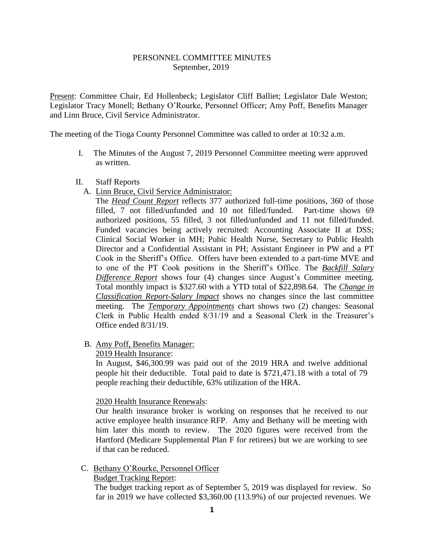### PERSONNEL COMMITTEE MINUTES September, 2019

Present: Committee Chair, Ed Hollenbeck; Legislator Cliff Balliet; Legislator Dale Weston; Legislator Tracy Monell; Bethany O'Rourke, Personnel Officer; Amy Poff, Benefits Manager and Linn Bruce, Civil Service Administrator.

The meeting of the Tioga County Personnel Committee was called to order at 10:32 a.m.

- I. The Minutes of the August 7, 2019 Personnel Committee meeting were approved as written.
- II. Staff Reports
	- A. Linn Bruce, Civil Service Administrator:

The *Head Count Report* reflects 377 authorized full-time positions, 360 of those filled, 7 not filled/unfunded and 10 not filled/funded. Part-time shows 69 authorized positions, 55 filled, 3 not filled/unfunded and 11 not filled/funded. Funded vacancies being actively recruited: Accounting Associate II at DSS; Clinical Social Worker in MH; Pubic Health Nurse, Secretary to Public Health Director and a Confidential Assistant in PH; Assistant Engineer in PW and a PT Cook in the Sheriff's Office. Offers have been extended to a part-time MVE and to one of the PT Cook positions in the Sheriff's Office. The *Backfill Salary Difference Report* shows four (4) changes since August's Committee meeting. Total monthly impact is \$327.60 with a YTD total of \$22,898.64. The *Change in Classification Report-Salary Impact* shows no changes since the last committee meeting. The *Temporary Appointments* chart shows two (2) changes: Seasonal Clerk in Public Health ended 8/31/19 and a Seasonal Clerk in the Treasurer's Office ended 8/31/19.

B. Amy Poff, Benefits Manager:

#### 2019 Health Insurance:

In August, \$46,300.99 was paid out of the 2019 HRA and twelve additional people hit their deductible. Total paid to date is \$721,471.18 with a total of 79 people reaching their deductible, 63% utilization of the HRA.

2020 Health Insurance Renewals:

Our health insurance broker is working on responses that he received to our active employee health insurance RFP. Amy and Bethany will be meeting with him later this month to review. The 2020 figures were received from the Hartford (Medicare Supplemental Plan F for retirees) but we are working to see if that can be reduced.

C. Bethany O'Rourke, Personnel Officer

# Budget Tracking Report:

 The budget tracking report as of September 5, 2019 was displayed for review. So far in 2019 we have collected \$3,360.00 (113.9%) of our projected revenues. We